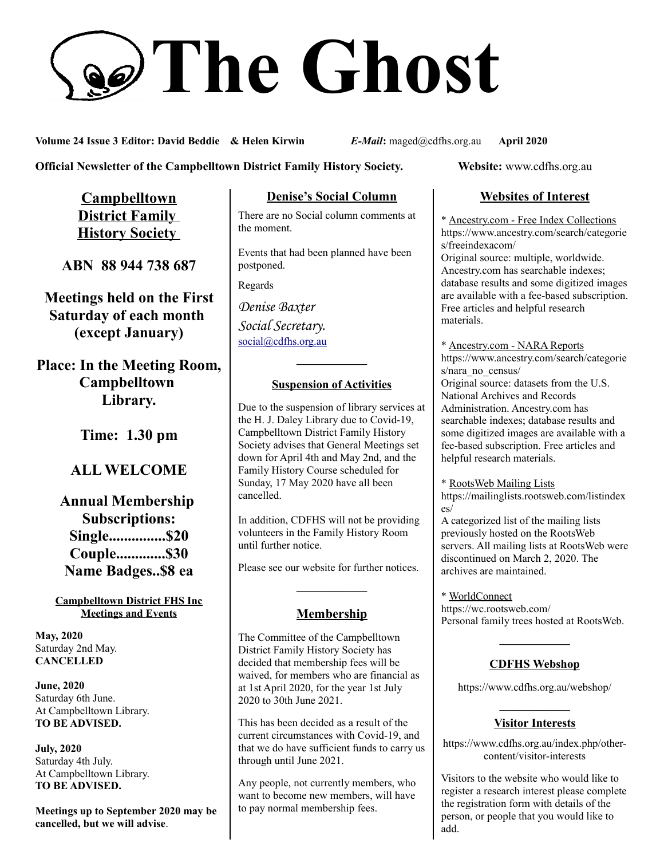# **The Ghost**

**Volume 24 Issue 3 Editor: David Beddie & Helen Kirwin** *E-Mail***:** maged@cdfhs.org.au **April 2020**

**Official Newsletter of the Campbelltown District Family History Society. Website: www.cdfhs.org.au** 

**Campbelltown District Family History Society** 

**ABN 88 944 738 687**

**Meetings held on the First Saturday of each month (except January)**

**Place: In the Meeting Room, Campbelltown Library.**

**Time: 1.30 pm**

# **ALL WELCOME**

**Annual Membership Subscriptions: Single...............\$20 Couple.............\$30 Name Badges..\$8 ea**

**Campbelltown District FHS Inc Meetings and Events**

**May, 2020** Saturday 2nd May. **CANCELLED**

**June, 2020** Saturday 6th June. At Campbelltown Library. **TO BE ADVISED.**

**July, 2020** Saturday 4th July. At Campbelltown Library. **TO BE ADVISED.**

**Meetings up to September 2020 may be cancelled, but we will advise**.

## **Denise's Social Column**

There are no Social column comments at the moment.

Events that had been planned have been postponed.

Regards

*Denise Baxter Social Secretary.* [social@cdfhs.org.au](mailto:social@cdfhs.org.au)

# **——————– Suspension of Activities**

Due to the suspension of library services at the H. J. Daley Library due to Covid-19, Campbelltown District Family History Society advises that General Meetings set down for April 4th and May 2nd, and the Family History Course scheduled for Sunday, 17 May 2020 have all been cancelled.

In addition, CDFHS will not be providing volunteers in the Family History Room until further notice.

Please see our website for further notices.

## **Membership**

**——————–**

The Committee of the Campbelltown District Family History Society has decided that membership fees will be waived, for members who are financial as at 1st April 2020, for the year 1st July 2020 to 30th June 2021.

This has been decided as a result of the current circumstances with Covid-19, and that we do have sufficient funds to carry us through until June 2021.

Any people, not currently members, who want to become new members, will have to pay normal membership fees.

## **Websites of Interest**

\* Ancestry.com - Free Index Collections https://www.ancestry.com/search/categorie s/freeindexacom/ Original source: multiple, worldwide. Ancestry.com has searchable indexes; database results and some digitized images are available with a fee-based subscription. Free articles and helpful research materials.

\* Ancestry.com - NARA Reports https://www.ancestry.com/search/categorie s/nara\_no\_census/ Original source: datasets from the U.S. National Archives and Records Administration. Ancestry.com has searchable indexes; database results and some digitized images are available with a fee-based subscription. Free articles and helpful research materials.

\* RootsWeb Mailing Lists https://mailinglists.rootsweb.com/listindex es/

A categorized list of the mailing lists previously hosted on the RootsWeb servers. All mailing lists at RootsWeb were discontinued on March 2, 2020. The archives are maintained.

\* WorldConnect https://wc.rootsweb.com/ Personal family trees hosted at RootsWeb.

## **——————– CDFHS Webshop**

https://www.cdfhs.org.au/webshop/

#### **——————– Visitor Interests**

https://www.cdfhs.org.au/index.php/othercontent/visitor-interests

Visitors to the website who would like to register a research interest please complete the registration form with details of the person, or people that you would like to add.